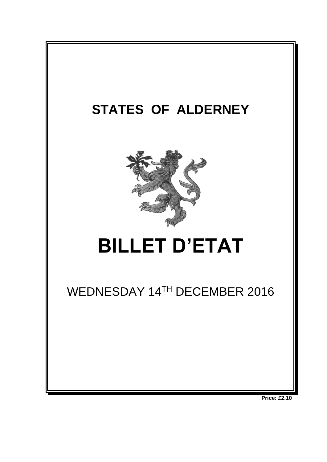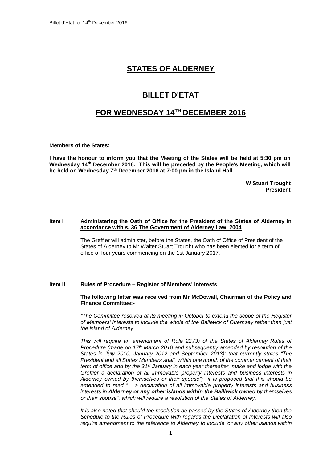## **STATES OF ALDERNEY**

# **BILLET D'ETAT**

## **FOR WEDNESDAY 14 TH DECEMBER 2016**

**Members of the States:**

**I have the honour to inform you that the Meeting of the States will be held at 5:30 pm on**  Wednesday 14<sup>th</sup> December 2016. This will be preceded by the People's Meeting, which will **be held on Wednesday 7 th December 2016 at 7:00 pm in the Island Hall.** 

> **W Stuart Trought President**

#### **Item I Administering the Oath of Office for the President of the States of Alderney in accordance with s. 36 The Government of Alderney Law, 2004**

The Greffier will administer, before the States, the Oath of Office of President of the States of Alderney to Mr Walter Stuart Trought who has been elected for a term of office of four years commencing on the 1st January 2017.

#### **Item II Rules of Procedure – Register of Members' interests**

#### **The following letter was received from Mr McDowall, Chairman of the Policy and Finance Committee:-**

*"The Committee resolved at its meeting in October to extend the scope of the Register of Members' interests to include the whole of the Bailiwick of Guernsey rather than just the island of Alderney.* 

*This will require an amendment of Rule 22.(3) of the States of Alderney Rules of Procedure (made on 17th March 2010 and subsequently amended by resolution of the States in July 2010, January 2012 and September 2013); that currently states "The President and all States Members shall, within one month of the commencement of their term of office and by the 31st January in each year thereafter, make and lodge with the Greffier a declaration of all immovable property interests and business interests in Alderney owned by themselves or their spouse"; it is proposed that this should be amended to read "….a declaration of all immovable property interests and business interests in Alderney or any other islands within the Bailiwick owned by themselves or their spouse", which will require a resolution of the States of Alderney.*

*It is also noted that should the resolution be passed by the States of Alderney then the Schedule to the Rules of Procedure with regards the Declaration of Interests will also require amendment to the reference to Alderney to include 'or any other islands within*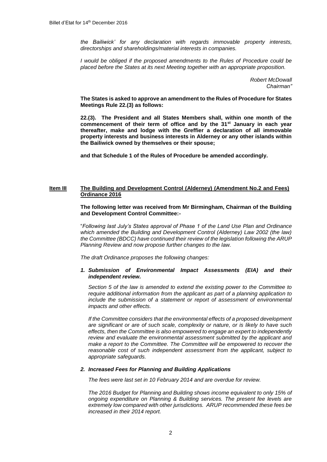*the Bailiwick' for any declaration with regards immovable property interests, directorships and shareholdings/material interests in companies.*

*I would be obliged if the proposed amendments to the Rules of Procedure could be placed before the States at its next Meeting together with an appropriate proposition.*

> *Robert McDowall Chairman"*

**The States is asked to approve an amendment to the Rules of Procedure for States Meetings Rule 22.(3) as follows:**

**22.(3). The President and all States Members shall, within one month of the commencement of their term of office and by the 31st January in each year thereafter, make and lodge with the Greffier a declaration of all immovable property interests and business interests in Alderney or any other islands within the Bailiwick owned by themselves or their spouse;** 

**and that Schedule 1 of the Rules of Procedure be amended accordingly.**

### **Item III The Building and Development Control (Alderney) (Amendment No.2 and Fees) Ordinance 2016**

**The following letter was received from Mr Birmingham, Chairman of the Building and Development Control Committee:-**

"*Following last July's States approval of Phase 1 of the Land Use Plan and Ordinance which amended the Building and Development Control (Alderney) Law 2002 (the law) the Committee (BDCC) have continued their review of the legislation following the ARUP Planning Review and now propose further changes to the law.*

*The draft Ordinance proposes the following changes:*

#### *1. Submission of Environmental Impact Assessments (EIA) and their independent review.*

*Section 5 of the law is amended to extend the existing power to the Committee to require additional information from the applicant as part of a planning application to include the submission of a statement or report of assessment of environmental impacts and other effects.*

*If the Committee considers that the environmental effects of a proposed development are significant or are of such scale, complexity or nature, or is likely to have such effects, then the Committee is also empowered to engage an expert to independently review and evaluate the environmental assessment submitted by the applicant and make a report to the Committee. The Committee will be empowered to recover the reasonable cost of such independent assessment from the applicant, subject to appropriate safeguards.* 

#### *2. Increased Fees for Planning and Building Applications*

*The fees were last set in 10 February 2014 and are overdue for review.*

*The 2016 Budget for Planning and Building shows income equivalent to only 15% of ongoing expenditure on Planning & Building services. The present fee levels are extremely low compared with other jurisdictions. ARUP recommended these fees be increased in their 2014 report.*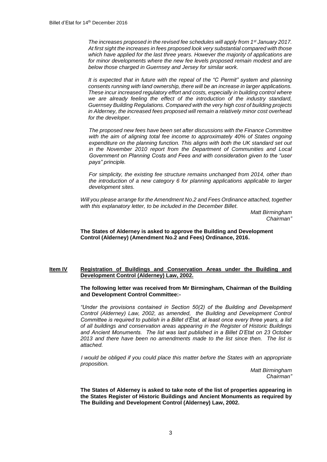*The increases proposed in the revised fee schedules will apply from 1st January 2017. At first sight the increases in fees proposed look very substantial compared with those which have applied for the last three years. However the majority of applications are*  for minor developments where the new fee levels proposed remain modest and are *below those charged in Guernsey and Jersey for similar work.* 

*It is expected that in future with the repeal of the "C Permit" system and planning consents running with land ownership, there will be an increase in larger applications. These incur increased regulatory effort and costs, especially in building control where we are already feeling the effect of the introduction of the industry standard, Guernsey Building Regulations. Compared with the very high cost of building projects in Alderney, the increased fees proposed will remain a relatively minor cost overhead for the developer.*

*The proposed new fees have been set after discussions with the Finance Committee*  with the aim of aligning total fee income to approximately 40% of States ongoing *expenditure on the planning function. This aligns with both the UK standard set out in the November 2010 report from the Department of Communities and Local Government on Planning Costs and Fees and with consideration given to the "user pays" principle.*

*For simplicity, the existing fee structure remains unchanged from 2014, other than the introduction of a new category 6 for planning applications applicable to larger development sites.* 

*Will you please arrange for the Amendment No.2 and Fees Ordinance attached, together with this explanatory letter, to be included in the December Billet.* 

> *Matt Birmingham Chairman"*

**The States of Alderney is asked to approve the Building and Development Control (Alderney) (Amendment No.2 and Fees) Ordinance, 2016.**

#### **Item IV Registration of Buildings and Conservation Areas under the Building and Development Control (Alderney) Law, 2002.**

**The following letter was received from Mr Birmingham, Chairman of the Building and Development Control Committee:-**

*"Under the provisions contained in Section 50(2) of the Building and Development Control (Alderney) Law, 2002, as amended, the Building and Development Control Committee is required to publish in a Billet d'État, at least once every three years, a list of all buildings and conservation areas appearing in the Register of Historic Buildings and Ancient Monuments. The list was last published in a Billet D'Etat on 23 October 2013 and there have been no amendments made to the list since then. The list is attached.*

*I would be obliged if you could place this matter before the States with an appropriate proposition.*

*Matt Birmingham Chairman"*

**The States of Alderney is asked to take note of the list of properties appearing in the States Register of Historic Buildings and Ancient Monuments as required by The Building and Development Control (Alderney) Law, 2002.**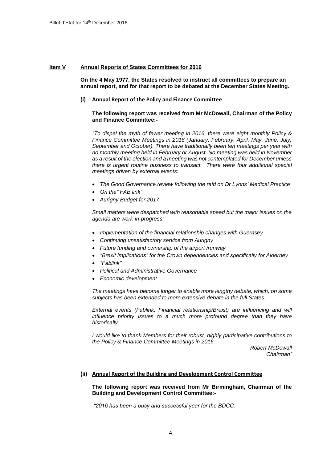#### **Item V Annual Reports of States Committees for 2016**

**On the 4 May 1977, the States resolved to instruct all committees to prepare an annual report, and for that report to be debated at the December States Meeting.**

#### **(i) Annual Report of the Policy and Finance Committee**

**The following report was received from Mr McDowall, Chairman of the Policy and Finance Committee:-**

*"To dispel the myth of fewer meeting in 2016, there were eight monthly Policy & Finance Committee Meetings in 2016 (January, February, April, May, June, July, September and October). There have traditionally been ten meetings per year with no monthly meeting held in February or August. No meeting was held in November as a result of the election and a meeting was not contemplated for December unless there is urgent routine business to transact. There were four additional special meetings driven by external events:*

- *The Good Governance review following the raid on Dr Lyons' Medical Practice*
- *On the" FAB link"*
- *Aurigny Budget for 2017*

*Small matters were despatched with reasonable speed but the major issues on the agenda are work-in-progress:*

- *Implementation of the financial relationship changes with Guernsey*
- *Continuing unsatisfactory service from Aurigny*
- *Future funding and ownership of the airport /runway*
- *"Brexit implications" for the Crown dependencies and specifically for Alderney*
- *"Fablink"*
- *Political and Administrative Governance*
- *Economic development*

*The meetings have become longer to enable more lengthy debate, which, on some subjects has been extended to more extensive debate in the full States.*

*External events (Fablink, Financial relationship/Brexit) are influencing and will influence priority issues to a much more profound degree than they have historically.*

*I would like to thank Members for their robust, highly participative contributions to the Policy & Finance Committee Meetings in 2016.*

> *Robert McDowall Chairman"*

## **(ii) Annual Report of the Building and Development Control Committee**

**The following report was received from Mr Birmingham, Chairman of the Building and Development Control Committee:-**

*"2016 has been a busy and successful year for the BDCC.*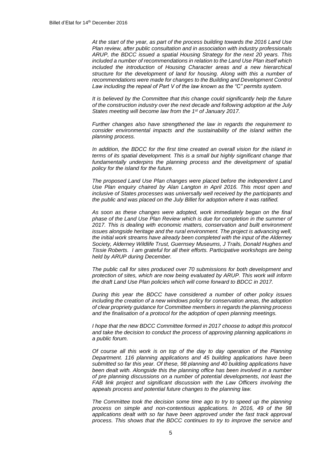*At the start of the year, as part of the process building towards the 2016 Land Use Plan review, after public consultation and in association with industry professionals ARUP, the BDCC issued a spatial Housing Strategy for the next 20 years. This included a number of recommendations in relation to the Land Use Plan itself which included the introduction of Housing Character areas and a new hierarchical structure for the development of land for housing. Along with this a number of recommendations were made for changes to the Building and Development Control Law including the repeal of Part V of the law known as the "C" permits system.*

*It is believed by the Committee that this change could significantly help the future of the construction industry over the next decade and following adoption at the July States meeting will become law from the 1st of January 2017.*

*Further changes also have strengthened the law in regards the requirement to consider environmental impacts and the sustainability of the island within the planning process.*

*In addition, the BDCC for the first time created an overall vision for the island in terms of its spatial development. This is a small but highly significant change that*  fundamentally underpins the planning process and the development of spatial *policy for the island for the future.* 

*The proposed Land Use Plan changes were placed before the independent Land*  Use Plan enquiry chaired by Alan Langton in April 2016. This most open and *inclusive of States processes was universally well received by the participants and the public and was placed on the July Billet for adoption where it was ratified.*

*As soon as these changes were adopted, work immediately began on the final phase of the Land Use Plan Review which is due for completion in the summer of 2017. This is dealing with economic matters, conservation and built environment issues alongside heritage and the rural environment. The project is advancing well, the initial work streams have already been completed with the input of the Alderney Society, Alderney Wildlife Trust, Guernsey Museums, J Trails, Donald Hughes and Tissie Roberts. I am grateful for all their efforts. Participative workshops are being held by ARUP during December.*

*The public call for sites produced over 70 submissions for both development and protection of sites, which are now being evaluated by ARUP. This work will inform the draft Land Use Plan policies which will come forward to BDCC in 2017.*

*During this year the BDCC have considered a number of other policy issues including the creation of a new windows policy for conservation areas, the adoption of clear propriety guidance for Committee members in regards the planning process and the finalisation of a protocol for the adoption of open planning meetings.*

*I hope that the new BDCC Committee formed in 2017 choose to adopt this protocol and take the decision to conduct the process of approving planning applications in a public forum.*

*Of course all this work is on top of the day to day operation of the Planning Department. 116 planning applications and 45 building applications have been submitted so far this year. Of these, 98 planning and 40 building applications have been dealt with. Alongside this the planning office has been involved in a number of pre planning discussions on a number of potential developments, not least the FAB link project and significant discussion with the Law Officers involving the appeals process and potential future changes to the planning law.* 

*The Committee took the decision some time ago to try to speed up the planning process on simple and non-contentious applications. In 2016, 49 of the 98*  applications dealt with so far have been approved under the fast track approval *process. This shows that the BDCC continues to try to improve the service and*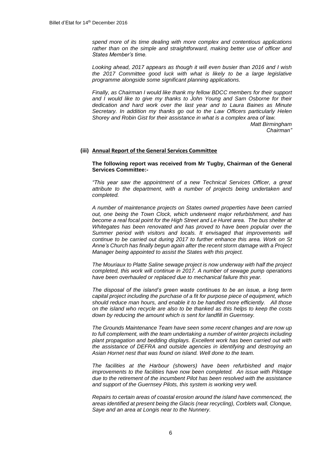*spend more of its time dealing with more complex and contentious applications rather than on the simple and straightforward, making better use of officer and States Member's time.*

*Looking ahead, 2017 appears as though it will even busier than 2016 and I wish the 2017 Committee good luck with what is likely to be a large legislative programme alongside some significant planning applications.*

*Finally, as Chairman I would like thank my fellow BDCC members for their support and I would like to give my thanks to John Young and Sam Osborne for their dedication and hard work over the last year and to Laura Baines as Minute Secretary. In addition my thanks go out to the Law Officers particularly Helen Shorey and Robin Gist for their assistance in what is a complex area of law. Matt Birmingham*

*Chairman"*

#### **(iii) Annual Report of the General Services Committee**

### **The following report was received from Mr Tugby, Chairman of the General Services Committee:-**

*"This year saw the appointment of a new Technical Services Officer, a great attribute to the department, with a number of projects being undertaken and completed.*

*A number of maintenance projects on States owned properties have been carried out, one being the Town Clock, which underwent major refurbishment, and has become a real focal point for the High Street and Le Huret area. The bus shelter at Whitegates has been renovated and has proved to have been popular over the*  Summer period with visitors and locals. It envisaged that improvements will *continue to be carried out during 2017 to further enhance this area. Work on St Anne's Church has finally begun again after the recent storm damage with a Project Manager being appointed to assist the States with this project.*

*The Mouriaux to Platte Saline sewage project is now underway with half the project completed, this work will continue in 2017. A number of sewage pump operations have been overhauled or replaced due to mechanical failure this year.*

*The disposal of the island's green waste continues to be an issue, a long term capital project including the purchase of a fit for purpose piece of equipment, which should reduce man hours, and enable it to be handled more efficiently. All those on the island who recycle are also to be thanked as this helps to keep the costs down by reducing the amount which is sent for landfill in Guernsey.*

*The Grounds Maintenance Team have seen some recent changes and are now up to full complement, with the team undertaking a number of winter projects including plant propagation and bedding displays. Excellent work has been carried out with the assistance of DEFRA and outside agencies in identifying and destroying an Asian Hornet nest that was found on island. Well done to the team.*

*The facilities at the Harbour (showers) have been refurbished and major improvements to the facilities have now been completed. An issue with Pilotage due to the retirement of the incumbent Pilot has been resolved with the assistance and support of the Guernsey Pilots, this system is working very well.* 

*Repairs to certain areas of coastal erosion around the island have commenced, the areas identified at present being the Glacis (near recycling), Corblets wall, Clonque, Saye and an area at Longis near to the Nunnery.*